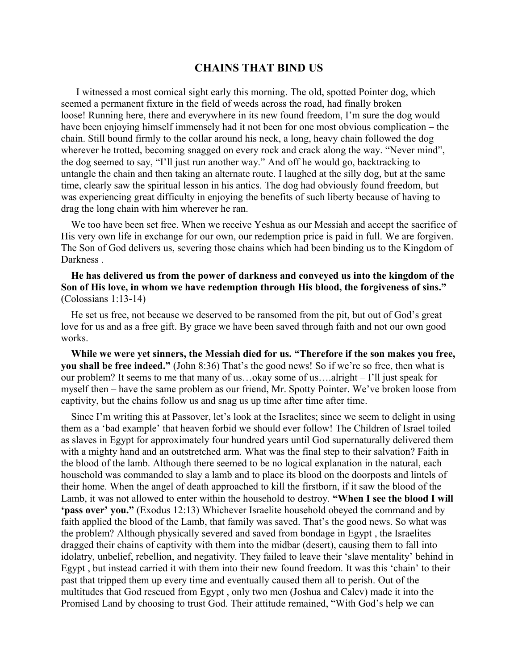## **CHAINS THAT BIND US**

I witnessed a most comical sight early this morning. The old, spotted Pointer dog, which seemed a permanent fixture in the field of weeds across the road, had finally broken loose! Running here, there and everywhere in its new found freedom, I'm sure the dog would have been enjoying himself immensely had it not been for one most obvious complication – the chain. Still bound firmly to the collar around his neck, a long, heavy chain followed the dog wherever he trotted, becoming snagged on every rock and crack along the way. "Never mind", the dog seemed to say, "I'll just run another way." And off he would go, backtracking to untangle the chain and then taking an alternate route. I laughed at the silly dog, but at the same time, clearly saw the spiritual lesson in his antics. The dog had obviously found freedom, but was experiencing great difficulty in enjoying the benefits of such liberty because of having to drag the long chain with him wherever he ran.

We too have been set free. When we receive Yeshua as our Messiah and accept the sacrifice of His very own life in exchange for our own, our redemption price is paid in full. We are forgiven. The Son of God delivers us, severing those chains which had been binding us to the Kingdom of Darkness .

## **He has delivered us from the power of darkness and conveyed us into the kingdom of the Son of His love, in whom we have redemption through His blood, the forgiveness of sins."** (Colossians 1:13-14)

He set us free, not because we deserved to be ransomed from the pit, but out of God's great love for us and as a free gift. By grace we have been saved through faith and not our own good works.

**While we were yet sinners, the Messiah died for us. "Therefore if the son makes you free, you shall be free indeed."** (John 8:36) That's the good news! So if we're so free, then what is our problem? It seems to me that many of us…okay some of us….alright – I'll just speak for myself then – have the same problem as our friend, Mr. Spotty Pointer. We've broken loose from captivity, but the chains follow us and snag us up time after time after time.

Since I'm writing this at Passover, let's look at the Israelites; since we seem to delight in using them as a 'bad example' that heaven forbid we should ever follow! The Children of Israel toiled as slaves in Egypt for approximately four hundred years until God supernaturally delivered them with a mighty hand and an outstretched arm. What was the final step to their salvation? Faith in the blood of the lamb. Although there seemed to be no logical explanation in the natural, each household was commanded to slay a lamb and to place its blood on the doorposts and lintels of their home. When the angel of death approached to kill the firstborn, if it saw the blood of the Lamb, it was not allowed to enter within the household to destroy. **"When I see the blood I will 'pass over' you."** (Exodus 12:13) Whichever Israelite household obeyed the command and by faith applied the blood of the Lamb, that family was saved. That's the good news. So what was the problem? Although physically severed and saved from bondage in Egypt , the Israelites dragged their chains of captivity with them into the midbar (desert), causing them to fall into idolatry, unbelief, rebellion, and negativity. They failed to leave their 'slave mentality' behind in Egypt , but instead carried it with them into their new found freedom. It was this 'chain' to their past that tripped them up every time and eventually caused them all to perish. Out of the multitudes that God rescued from Egypt , only two men (Joshua and Calev) made it into the Promised Land by choosing to trust God. Their attitude remained, "With God's help we can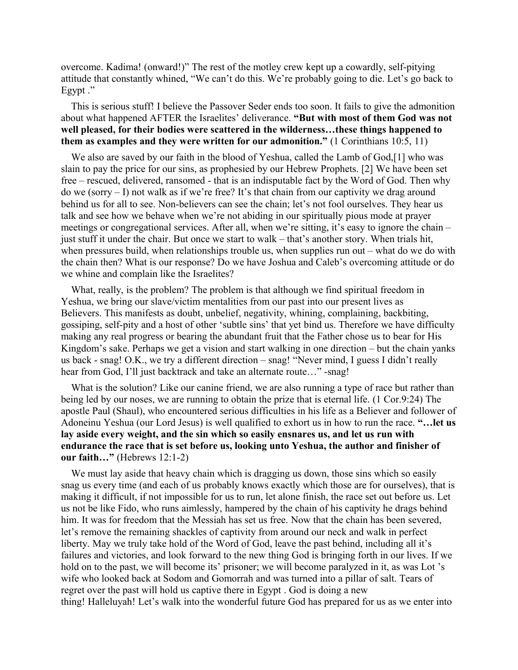overcome. Kadima! (onward!)" The rest of the motley crew kept up a cowardly, self-pitying attitude that constantly whined, "We can't do this. We're probably going to die. Let's go back to Egypt ."

This is serious stuff! I believe the Passover Seder ends too soon. It fails to give the admonition about what happened AFTER the Israelites' deliverance. **"But with most of them God was not well pleased, for their bodies were scattered in the wilderness…these things happened to them as examples and they were written for our admonition."** (1 Corinthians 10:5, 11)

We also are saved by our faith in the blood of Yeshua, called the Lamb of God,[1] who was slain to pay the price for our sins, as prophesied by our Hebrew Prophets. [2] We have been set free – rescued, delivered, ransomed - that is an indisputable fact by the Word of God. Then why do we (sorry – I) not walk as if we're free? It's that chain from our captivity we drag around behind us for all to see. Non-believers can see the chain; let's not fool ourselves. They hear us talk and see how we behave when we're not abiding in our spiritually pious mode at prayer meetings or congregational services. After all, when we're sitting, it's easy to ignore the chain – just stuff it under the chair. But once we start to walk – that's another story. When trials hit, when pressures build, when relationships trouble us, when supplies run out – what do we do with the chain then? What is our response? Do we have Joshua and Caleb's overcoming attitude or do we whine and complain like the Israelites?

What, really, is the problem? The problem is that although we find spiritual freedom in Yeshua, we bring our slave/victim mentalities from our past into our present lives as Believers. This manifests as doubt, unbelief, negativity, whining, complaining, backbiting, gossiping, self-pity and a host of other 'subtle sins' that yet bind us. Therefore we have difficulty making any real progress or bearing the abundant fruit that the Father chose us to bear for His Kingdom's sake. Perhaps we get a vision and start walking in one direction – but the chain yanks us back - snag! O.K., we try a different direction – snag! "Never mind, I guess I didn't really hear from God, I'll just backtrack and take an alternate route..." -snag!

What is the solution? Like our canine friend, we are also running a type of race but rather than being led by our noses, we are running to obtain the prize that is eternal life. (1 Cor.9:24) The apostle Paul (Shaul), who encountered serious difficulties in his life as a Believer and follower of Adoneinu Yeshua (our Lord Jesus) is well qualified to exhort us in how to run the race. **"…let us lay aside every weight, and the sin which so easily ensnares us, and let us run with endurance the race that is set before us, looking unto Yeshua, the author and finisher of our faith…"** (Hebrews 12:1-2)

We must lay aside that heavy chain which is dragging us down, those sins which so easily snag us every time (and each of us probably knows exactly which those are for ourselves), that is making it difficult, if not impossible for us to run, let alone finish, the race set out before us. Let us not be like Fido, who runs aimlessly, hampered by the chain of his captivity he drags behind him. It was for freedom that the Messiah has set us free. Now that the chain has been severed, let's remove the remaining shackles of captivity from around our neck and walk in perfect liberty. May we truly take hold of the Word of God, leave the past behind, including all it's failures and victories, and look forward to the new thing God is bringing forth in our lives. If we hold on to the past, we will become its' prisoner; we will become paralyzed in it, as was Lot 's wife who looked back at Sodom and Gomorrah and was turned into a pillar of salt. Tears of regret over the past will hold us captive there in Egypt . God is doing a new thing! Halleluyah! Let's walk into the wonderful future God has prepared for us as we enter into